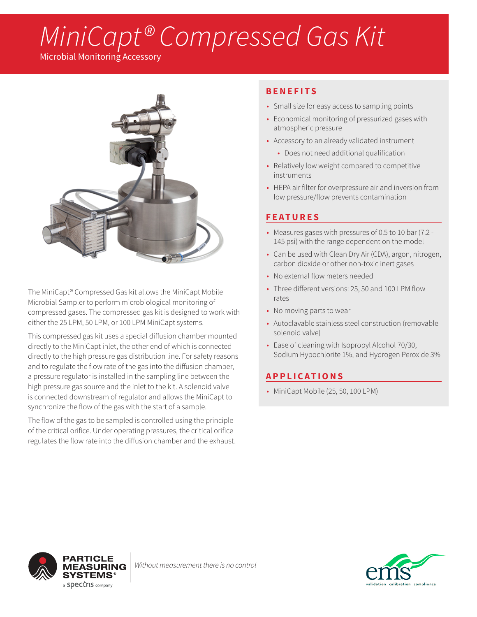# *MiniCapt® Compressed Gas Kit*

Microbial Monitoring Accessory



The MiniCapt® Compressed Gas kit allows the MiniCapt Mobile Microbial Sampler to perform microbiological monitoring of compressed gases. The compressed gas kit is designed to work with either the 25 LPM, 50 LPM, or 100 LPM MiniCapt systems.

This compressed gas kit uses a special diffusion chamber mounted directly to the MiniCapt inlet, the other end of which is connected directly to the high pressure gas distribution line. For safety reasons and to regulate the flow rate of the gas into the diffusion chamber, a pressure regulator is installed in the sampling line between the high pressure gas source and the inlet to the kit. A solenoid valve is connected downstream of regulator and allows the MiniCapt to synchronize the flow of the gas with the start of a sample.

The flow of the gas to be sampled is controlled using the principle of the critical orifice. Under operating pressures, the critical orifice regulates the flow rate into the diffusion chamber and the exhaust.

### **BENEFITS**

- Small size for easy access to sampling points
- Economical monitoring of pressurized gases with atmospheric pressure
- Accessory to an already validated instrument
	- Does not need additional qualification
- Relatively low weight compared to competitive instruments
- HEPA air filter for overpressure air and inversion from low pressure/flow prevents contamination

## **FEATURES**

- Measures gases with pressures of 0.5 to 10 bar (7.2 145 psi) with the range dependent on the model
- Can be used with Clean Dry Air (CDA), argon, nitrogen, carbon dioxide or other non-toxic inert gases
- No external flow meters needed
- Three different versions: 25, 50 and 100 LPM flow rates
- No moving parts to wear
- Autoclavable stainless steel construction (removable solenoid valve)
- Ease of cleaning with Isopropyl Alcohol 70/30, Sodium Hypochlorite 1%, and Hydrogen Peroxide 3%

## **APPLICATIONS**

• MiniCapt Mobile (25, 50, 100 LPM)